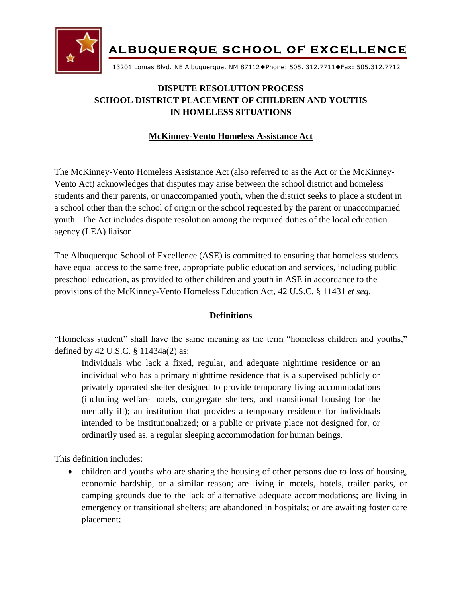

13201 Lomas Blvd. NE Albuquerque, NM 87112Phone: 505. 312.7711Fax: 505.312.7712

# **DISPUTE RESOLUTION PROCESS SCHOOL DISTRICT PLACEMENT OF CHILDREN AND YOUTHS IN HOMELESS SITUATIONS**

### **McKinney-Vento Homeless Assistance Act**

The McKinney-Vento Homeless Assistance Act (also referred to as the Act or the McKinney-Vento Act) acknowledges that disputes may arise between the school district and homeless students and their parents, or unaccompanied youth, when the district seeks to place a student in a school other than the school of origin or the school requested by the parent or unaccompanied youth. The Act includes dispute resolution among the required duties of the local education agency (LEA) liaison.

The Albuquerque School of Excellence (ASE) is committed to ensuring that homeless students have equal access to the same free, appropriate public education and services, including public preschool education, as provided to other children and youth in ASE in accordance to the provisions of the McKinney-Vento Homeless Education Act, 42 U.S.C. § 11431 *et seq*.

### **Definitions**

"Homeless student" shall have the same meaning as the term "homeless children and youths," defined by 42 U.S.C. § 11434a(2) as:

Individuals who lack a fixed, regular, and adequate nighttime residence or an individual who has a primary nighttime residence that is a supervised publicly or privately operated shelter designed to provide temporary living accommodations (including welfare hotels, congregate shelters, and transitional housing for the mentally ill); an institution that provides a temporary residence for individuals intended to be institutionalized; or a public or private place not designed for, or ordinarily used as, a regular sleeping accommodation for human beings.

This definition includes:

• children and youths who are sharing the housing of other persons due to loss of housing, economic hardship, or a similar reason; are living in motels, hotels, trailer parks, or camping grounds due to the lack of alternative adequate accommodations; are living in emergency or transitional shelters; are abandoned in hospitals; or are awaiting foster care placement;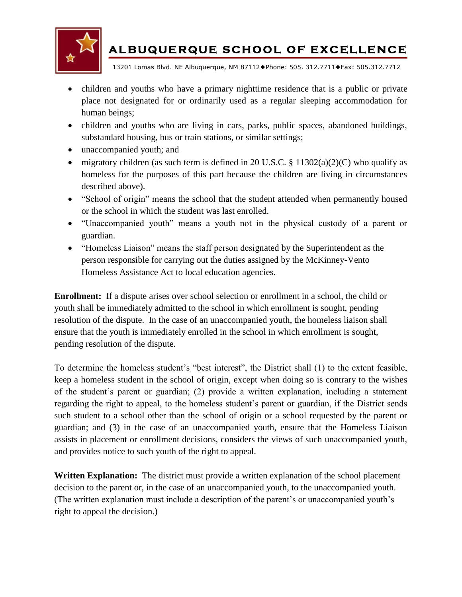

13201 Lomas Blvd. NE Albuquerque, NM 87112Phone: 505. 312.7711Fax: 505.312.7712

- children and youths who have a primary nighttime residence that is a public or private place not designated for or ordinarily used as a regular sleeping accommodation for human beings;
- children and youths who are living in cars, parks, public spaces, abandoned buildings, substandard housing, bus or train stations, or similar settings;
- unaccompanied youth; and
- migratory children (as such term is defined in 20 U.S.C. § 11302(a)(2)(C) who qualify as homeless for the purposes of this part because the children are living in circumstances described above).
- "School of origin" means the school that the student attended when permanently housed or the school in which the student was last enrolled.
- "Unaccompanied youth" means a youth not in the physical custody of a parent or guardian.
- "Homeless Liaison" means the staff person designated by the Superintendent as the person responsible for carrying out the duties assigned by the McKinney-Vento Homeless Assistance Act to local education agencies.

**Enrollment:** If a dispute arises over school selection or enrollment in a school, the child or youth shall be immediately admitted to the school in which enrollment is sought, pending resolution of the dispute. In the case of an unaccompanied youth, the homeless liaison shall ensure that the youth is immediately enrolled in the school in which enrollment is sought, pending resolution of the dispute.

To determine the homeless student's "best interest", the District shall (1) to the extent feasible, keep a homeless student in the school of origin, except when doing so is contrary to the wishes of the student's parent or guardian; (2) provide a written explanation, including a statement regarding the right to appeal, to the homeless student's parent or guardian, if the District sends such student to a school other than the school of origin or a school requested by the parent or guardian; and (3) in the case of an unaccompanied youth, ensure that the Homeless Liaison assists in placement or enrollment decisions, considers the views of such unaccompanied youth, and provides notice to such youth of the right to appeal.

**Written Explanation:** The district must provide a written explanation of the school placement decision to the parent or, in the case of an unaccompanied youth, to the unaccompanied youth. (The written explanation must include a description of the parent's or unaccompanied youth's right to appeal the decision.)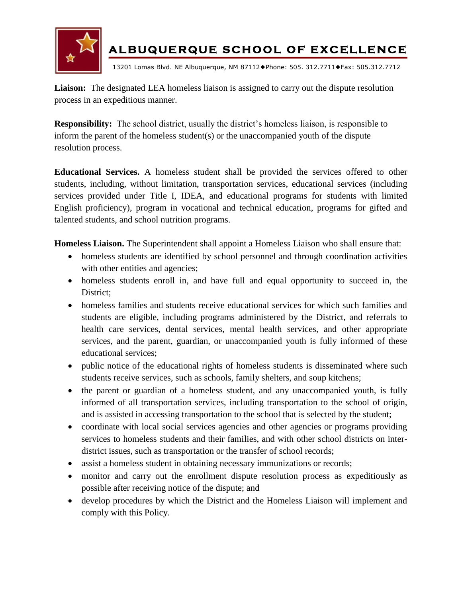

13201 Lomas Blvd. NE Albuquerque, NM 87112Phone: 505. 312.7711Fax: 505.312.7712

**Liaison:** The designated LEA homeless liaison is assigned to carry out the dispute resolution process in an expeditious manner.

**Responsibility:** The school district, usually the district's homeless liaison, is responsible to inform the parent of the homeless student(s) or the unaccompanied youth of the dispute resolution process.

**Educational Services.** A homeless student shall be provided the services offered to other students, including, without limitation, transportation services, educational services (including services provided under Title I, IDEA, and educational programs for students with limited English proficiency), program in vocational and technical education, programs for gifted and talented students, and school nutrition programs.

**Homeless Liaison.** The Superintendent shall appoint a Homeless Liaison who shall ensure that:

- homeless students are identified by school personnel and through coordination activities with other entities and agencies;
- homeless students enroll in, and have full and equal opportunity to succeed in, the District:
- homeless families and students receive educational services for which such families and students are eligible, including programs administered by the District, and referrals to health care services, dental services, mental health services, and other appropriate services, and the parent, guardian, or unaccompanied youth is fully informed of these educational services;
- public notice of the educational rights of homeless students is disseminated where such students receive services, such as schools, family shelters, and soup kitchens;
- the parent or guardian of a homeless student, and any unaccompanied youth, is fully informed of all transportation services, including transportation to the school of origin, and is assisted in accessing transportation to the school that is selected by the student;
- coordinate with local social services agencies and other agencies or programs providing services to homeless students and their families, and with other school districts on interdistrict issues, such as transportation or the transfer of school records;
- assist a homeless student in obtaining necessary immunizations or records;
- monitor and carry out the enrollment dispute resolution process as expeditiously as possible after receiving notice of the dispute; and
- develop procedures by which the District and the Homeless Liaison will implement and comply with this Policy.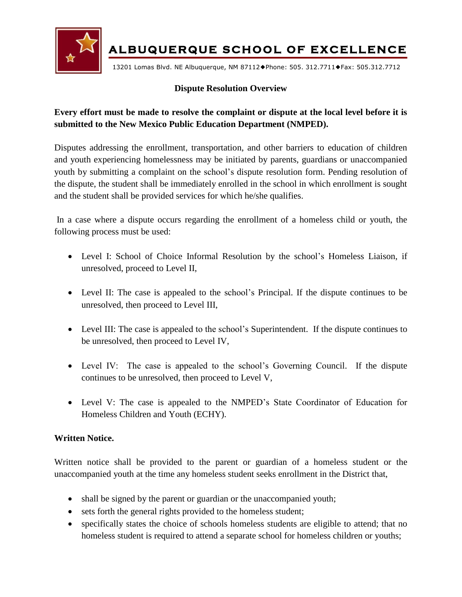

13201 Lomas Blvd. NE Albuquerque, NM 87112Phone: 505. 312.7711Fax: 505.312.7712

#### **Dispute Resolution Overview**

## **Every effort must be made to resolve the complaint or dispute at the local level before it is submitted to the New Mexico Public Education Department (NMPED).**

Disputes addressing the enrollment, transportation, and other barriers to education of children and youth experiencing homelessness may be initiated by parents, guardians or unaccompanied youth by submitting a complaint on the school's dispute resolution form. Pending resolution of the dispute, the student shall be immediately enrolled in the school in which enrollment is sought and the student shall be provided services for which he/she qualifies.

In a case where a dispute occurs regarding the enrollment of a homeless child or youth, the following process must be used:

- Level I: School of Choice Informal Resolution by the school's Homeless Liaison, if unresolved, proceed to Level II,
- Level II: The case is appealed to the school's Principal. If the dispute continues to be unresolved, then proceed to Level III,
- Level III: The case is appealed to the school's Superintendent. If the dispute continues to be unresolved, then proceed to Level IV,
- Level IV: The case is appealed to the school's Governing Council. If the dispute continues to be unresolved, then proceed to Level V,
- Level V: The case is appealed to the NMPED's State Coordinator of Education for Homeless Children and Youth (ECHY).

#### **Written Notice.**

Written notice shall be provided to the parent or guardian of a homeless student or the unaccompanied youth at the time any homeless student seeks enrollment in the District that,

- shall be signed by the parent or guardian or the unaccompanied youth;
- sets forth the general rights provided to the homeless student;
- specifically states the choice of schools homeless students are eligible to attend; that no homeless student is required to attend a separate school for homeless children or youths;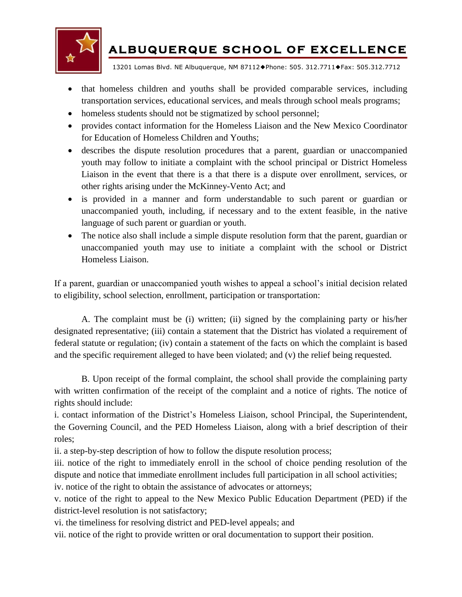

13201 Lomas Blvd. NE Albuquerque, NM 87112Phone: 505. 312.7711Fax: 505.312.7712

- that homeless children and youths shall be provided comparable services, including transportation services, educational services, and meals through school meals programs;
- homeless students should not be stigmatized by school personnel;
- provides contact information for the Homeless Liaison and the New Mexico Coordinator for Education of Homeless Children and Youths;
- describes the dispute resolution procedures that a parent, guardian or unaccompanied youth may follow to initiate a complaint with the school principal or District Homeless Liaison in the event that there is a that there is a dispute over enrollment, services, or other rights arising under the McKinney-Vento Act; and
- is provided in a manner and form understandable to such parent or guardian or unaccompanied youth, including, if necessary and to the extent feasible, in the native language of such parent or guardian or youth.
- The notice also shall include a simple dispute resolution form that the parent, guardian or unaccompanied youth may use to initiate a complaint with the school or District Homeless Liaison.

If a parent, guardian or unaccompanied youth wishes to appeal a school's initial decision related to eligibility, school selection, enrollment, participation or transportation:

A. The complaint must be (i) written; (ii) signed by the complaining party or his/her designated representative; (iii) contain a statement that the District has violated a requirement of federal statute or regulation; (iv) contain a statement of the facts on which the complaint is based and the specific requirement alleged to have been violated; and (v) the relief being requested.

B. Upon receipt of the formal complaint, the school shall provide the complaining party with written confirmation of the receipt of the complaint and a notice of rights. The notice of rights should include:

i. contact information of the District's Homeless Liaison, school Principal, the Superintendent, the Governing Council, and the PED Homeless Liaison, along with a brief description of their roles;

ii. a step-by-step description of how to follow the dispute resolution process;

iii. notice of the right to immediately enroll in the school of choice pending resolution of the dispute and notice that immediate enrollment includes full participation in all school activities;

iv. notice of the right to obtain the assistance of advocates or attorneys;

v. notice of the right to appeal to the New Mexico Public Education Department (PED) if the district-level resolution is not satisfactory;

vi. the timeliness for resolving district and PED-level appeals; and

vii. notice of the right to provide written or oral documentation to support their position.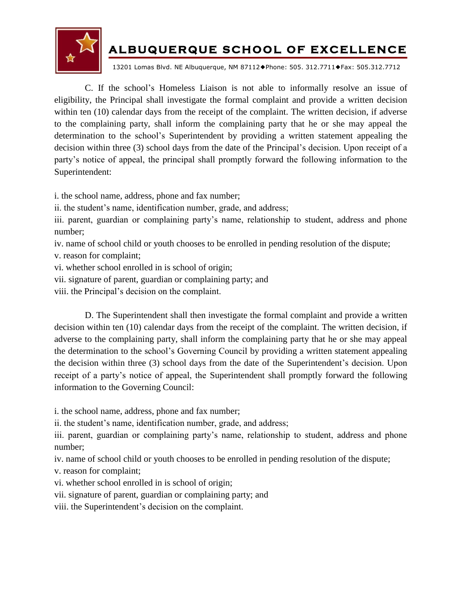

13201 Lomas Blvd. NE Albuquerque, NM 87112Phone: 505. 312.7711Fax: 505.312.7712

C. If the school's Homeless Liaison is not able to informally resolve an issue of eligibility, the Principal shall investigate the formal complaint and provide a written decision within ten (10) calendar days from the receipt of the complaint. The written decision, if adverse to the complaining party, shall inform the complaining party that he or she may appeal the determination to the school's Superintendent by providing a written statement appealing the decision within three (3) school days from the date of the Principal's decision. Upon receipt of a party's notice of appeal, the principal shall promptly forward the following information to the Superintendent:

i. the school name, address, phone and fax number;

ii. the student's name, identification number, grade, and address;

iii. parent, guardian or complaining party's name, relationship to student, address and phone number;

iv. name of school child or youth chooses to be enrolled in pending resolution of the dispute;

v. reason for complaint;

vi. whether school enrolled in is school of origin;

vii. signature of parent, guardian or complaining party; and

viii. the Principal's decision on the complaint.

D. The Superintendent shall then investigate the formal complaint and provide a written decision within ten (10) calendar days from the receipt of the complaint. The written decision, if adverse to the complaining party, shall inform the complaining party that he or she may appeal the determination to the school's Governing Council by providing a written statement appealing the decision within three (3) school days from the date of the Superintendent's decision. Upon receipt of a party's notice of appeal, the Superintendent shall promptly forward the following information to the Governing Council:

i. the school name, address, phone and fax number;

ii. the student's name, identification number, grade, and address;

iii. parent, guardian or complaining party's name, relationship to student, address and phone number;

iv. name of school child or youth chooses to be enrolled in pending resolution of the dispute;

v. reason for complaint;

vi. whether school enrolled in is school of origin;

vii. signature of parent, guardian or complaining party; and

viii. the Superintendent's decision on the complaint.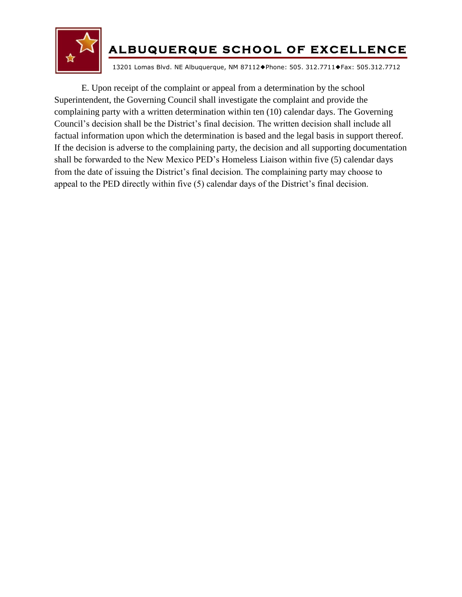

13201 Lomas Blvd. NE Albuquerque, NM 87112Phone: 505. 312.7711Fax: 505.312.7712

E. Upon receipt of the complaint or appeal from a determination by the school Superintendent, the Governing Council shall investigate the complaint and provide the complaining party with a written determination within ten (10) calendar days. The Governing Council's decision shall be the District's final decision. The written decision shall include all factual information upon which the determination is based and the legal basis in support thereof. If the decision is adverse to the complaining party, the decision and all supporting documentation shall be forwarded to the New Mexico PED's Homeless Liaison within five (5) calendar days from the date of issuing the District's final decision. The complaining party may choose to appeal to the PED directly within five (5) calendar days of the District's final decision.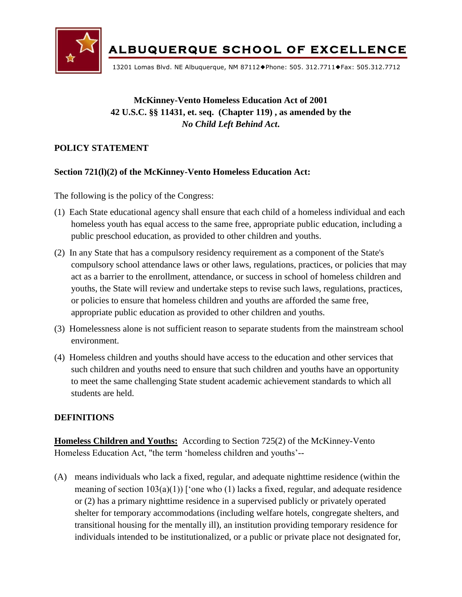

13201 Lomas Blvd. NE Albuquerque, NM 87112Phone: 505. 312.7711Fax: 505.312.7712

# **McKinney-Vento Homeless Education Act of 2001 42 U.S.C. §§ 11431, et. seq. (Chapter 119) , as amended by the**  *No Child Left Behind Act***.**

### **POLICY STATEMENT**

#### **Section 721(l)(2) of the McKinney-Vento Homeless Education Act:**

The following is the policy of the Congress:

- (1) Each State educational agency shall ensure that each child of a homeless individual and each homeless youth has equal access to the same free, appropriate public education, including a public preschool education, as provided to other children and youths.
- (2) In any State that has a compulsory residency requirement as a component of the State's compulsory school attendance laws or other laws, regulations, practices, or policies that may act as a barrier to the enrollment, attendance, or success in school of homeless children and youths, the State will review and undertake steps to revise such laws, regulations, practices, or policies to ensure that homeless children and youths are afforded the same free, appropriate public education as provided to other children and youths.
- (3) Homelessness alone is not sufficient reason to separate students from the mainstream school environment.
- (4) Homeless children and youths should have access to the education and other services that such children and youths need to ensure that such children and youths have an opportunity to meet the same challenging State student academic achievement standards to which all students are held.

#### **DEFINITIONS**

**Homeless Children and Youths:** According to Section 725(2) of the McKinney-Vento Homeless Education Act, "the term 'homeless children and youths'--

(A) means individuals who lack a fixed, regular, and adequate nighttime residence (within the meaning of section  $103(a)(1)$  ['one who (1) lacks a fixed, regular, and adequate residence or (2) has a primary nighttime residence in a supervised publicly or privately operated shelter for temporary accommodations (including welfare hotels, congregate shelters, and transitional housing for the mentally ill), an institution providing temporary residence for individuals intended to be institutionalized, or a public or private place not designated for,